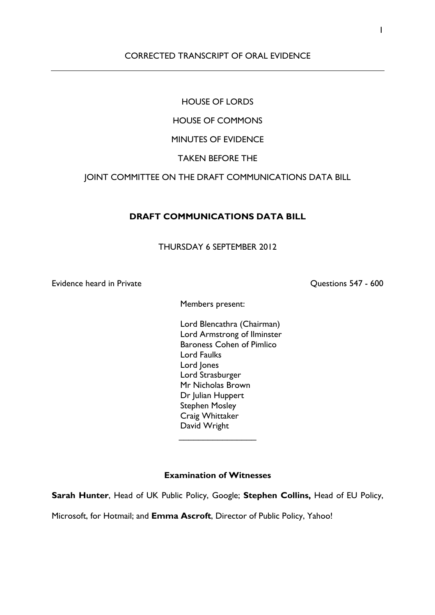## CORRECTED TRANSCRIPT OF ORAL EVIDENCE

# HOUSE OF LORDS

# HOUSE OF COMMONS

# MINUTES OF EVIDENCE

## TAKEN BEFORE THE

## JOINT COMMITTEE ON THE DRAFT COMMUNICATIONS DATA BILL

### **DRAFT COMMUNICATIONS DATA BILL**

### THURSDAY 6 SEPTEMBER 2012

Evidence heard in Private **Constructions 1998** Cuestions 547 - 600

Members present:

Lord Blencathra (Chairman) Lord Armstrong of Ilminster Baroness Cohen of Pimlico Lord Faulks Lord Jones Lord Strasburger Mr Nicholas Brown Dr Julian Huppert Stephen Mosley Craig Whittaker David Wright

### **Examination of Witnesses**

 $\overline{\phantom{a}}$  . The set of the set of the set of the set of the set of the set of the set of the set of the set of the set of the set of the set of the set of the set of the set of the set of the set of the set of the set o

**Sarah Hunter**, Head of UK Public Policy, Google; **Stephen Collins,** Head of EU Policy,

Microsoft, for Hotmail; and **Emma Ascroft**, Director of Public Policy, Yahoo!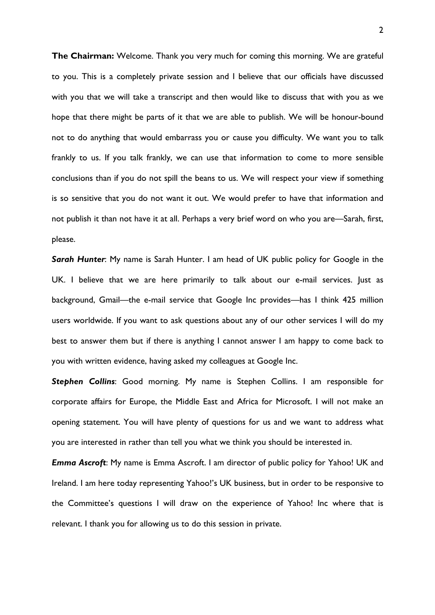**The Chairman:** Welcome. Thank you very much for coming this morning. We are grateful to you. This is a completely private session and I believe that our officials have discussed with you that we will take a transcript and then would like to discuss that with you as we hope that there might be parts of it that we are able to publish. We will be honour-bound not to do anything that would embarrass you or cause you difficulty. We want you to talk frankly to us. If you talk frankly, we can use that information to come to more sensible conclusions than if you do not spill the beans to us. We will respect your view if something is so sensitive that you do not want it out. We would prefer to have that information and not publish it than not have it at all. Perhaps a very brief word on who you are—Sarah, first, please.

*Sarah Hunter*: My name is Sarah Hunter. I am head of UK public policy for Google in the UK. I believe that we are here primarily to talk about our e-mail services. Just as background, Gmail—the e-mail service that Google Inc provides—has I think 425 million users worldwide. If you want to ask questions about any of our other services I will do my best to answer them but if there is anything I cannot answer I am happy to come back to you with written evidence, having asked my colleagues at Google Inc.

*Stephen Collins*: Good morning. My name is Stephen Collins. I am responsible for corporate affairs for Europe, the Middle East and Africa for Microsoft. I will not make an opening statement. You will have plenty of questions for us and we want to address what you are interested in rather than tell you what we think you should be interested in.

*Emma Ascroft*: My name is Emma Ascroft. I am director of public policy for Yahoo! UK and Ireland. I am here today representing Yahoo!'s UK business, but in order to be responsive to the Committee's questions I will draw on the experience of Yahoo! Inc where that is relevant. I thank you for allowing us to do this session in private.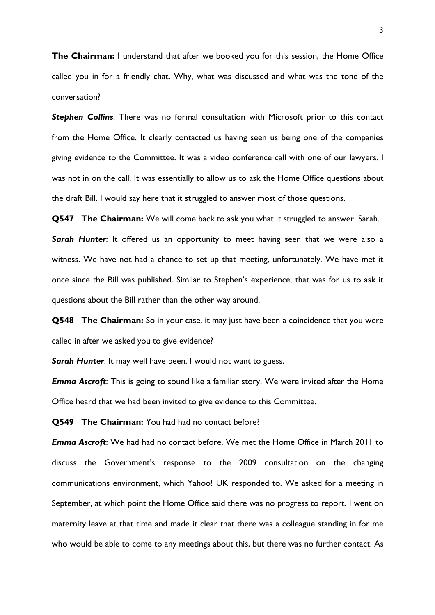**The Chairman:** I understand that after we booked you for this session, the Home Office called you in for a friendly chat. Why, what was discussed and what was the tone of the conversation?

**Stephen Collins:** There was no formal consultation with Microsoft prior to this contact from the Home Office. It clearly contacted us having seen us being one of the companies giving evidence to the Committee. It was a video conference call with one of our lawyers. I was not in on the call. It was essentially to allow us to ask the Home Office questions about the draft Bill. I would say here that it struggled to answer most of those questions.

**Q547 The Chairman:** We will come back to ask you what it struggled to answer. Sarah.

*Sarah Hunter*: It offered us an opportunity to meet having seen that we were also a witness. We have not had a chance to set up that meeting, unfortunately. We have met it once since the Bill was published. Similar to Stephen's experience, that was for us to ask it questions about the Bill rather than the other way around.

**Q548 The Chairman:** So in your case, it may just have been a coincidence that you were called in after we asked you to give evidence?

*Sarah Hunter*: It may well have been. I would not want to guess.

*Emma Ascroft*: This is going to sound like a familiar story. We were invited after the Home Office heard that we had been invited to give evidence to this Committee.

**Q549 The Chairman:** You had had no contact before?

*Emma Ascroft*: We had had no contact before. We met the Home Office in March 2011 to discuss the Government's response to the 2009 consultation on the changing communications environment, which Yahoo! UK responded to. We asked for a meeting in September, at which point the Home Office said there was no progress to report. I went on maternity leave at that time and made it clear that there was a colleague standing in for me who would be able to come to any meetings about this, but there was no further contact. As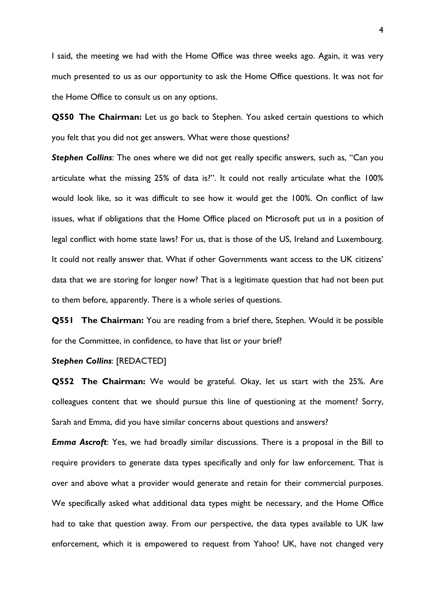I said, the meeting we had with the Home Office was three weeks ago. Again, it was very much presented to us as our opportunity to ask the Home Office questions. It was not for the Home Office to consult us on any options.

**Q550 The Chairman:** Let us go back to Stephen. You asked certain questions to which you felt that you did not get answers. What were those questions?

*Stephen Collins*: The ones where we did not get really specific answers, such as, "Can you articulate what the missing 25% of data is?". It could not really articulate what the 100% would look like, so it was difficult to see how it would get the 100%. On conflict of law issues, what if obligations that the Home Office placed on Microsoft put us in a position of legal conflict with home state laws? For us, that is those of the US, Ireland and Luxembourg. It could not really answer that. What if other Governments want access to the UK citizens' data that we are storing for longer now? That is a legitimate question that had not been put to them before, apparently. There is a whole series of questions.

**Q551 The Chairman:** You are reading from a brief there, Stephen. Would it be possible for the Committee, in confidence, to have that list or your brief?

### *Stephen Collins*: [REDACTED]

**Q552 The Chairman:** We would be grateful. Okay, let us start with the 25%. Are colleagues content that we should pursue this line of questioning at the moment? Sorry, Sarah and Emma, did you have similar concerns about questions and answers?

*Emma Ascroft*: Yes, we had broadly similar discussions. There is a proposal in the Bill to require providers to generate data types specifically and only for law enforcement. That is over and above what a provider would generate and retain for their commercial purposes. We specifically asked what additional data types might be necessary, and the Home Office had to take that question away. From our perspective, the data types available to UK law enforcement, which it is empowered to request from Yahoo! UK, have not changed very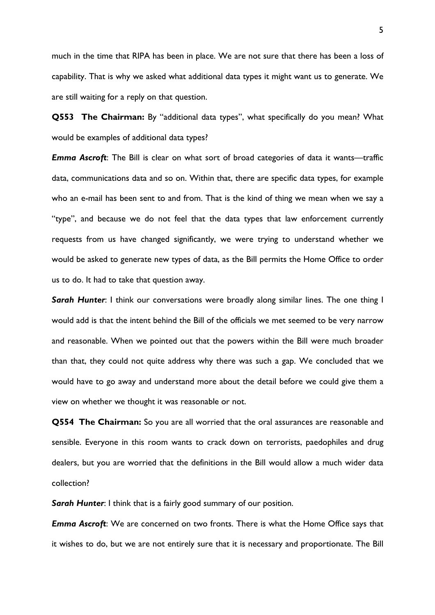much in the time that RIPA has been in place. We are not sure that there has been a loss of capability. That is why we asked what additional data types it might want us to generate. We are still waiting for a reply on that question.

**Q553 The Chairman:** By "additional data types", what specifically do you mean? What would be examples of additional data types?

*Emma Ascroft*: The Bill is clear on what sort of broad categories of data it wants—traffic data, communications data and so on. Within that, there are specific data types, for example who an e-mail has been sent to and from. That is the kind of thing we mean when we say a "type", and because we do not feel that the data types that law enforcement currently requests from us have changed significantly, we were trying to understand whether we would be asked to generate new types of data, as the Bill permits the Home Office to order us to do. It had to take that question away.

**Sarah Hunter:** I think our conversations were broadly along similar lines. The one thing I would add is that the intent behind the Bill of the officials we met seemed to be very narrow and reasonable. When we pointed out that the powers within the Bill were much broader than that, they could not quite address why there was such a gap. We concluded that we would have to go away and understand more about the detail before we could give them a view on whether we thought it was reasonable or not.

**Q554 The Chairman:** So you are all worried that the oral assurances are reasonable and sensible. Everyone in this room wants to crack down on terrorists, paedophiles and drug dealers, but you are worried that the definitions in the Bill would allow a much wider data collection?

*Sarah Hunter*: I think that is a fairly good summary of our position.

*Emma Ascroft*: We are concerned on two fronts. There is what the Home Office says that it wishes to do, but we are not entirely sure that it is necessary and proportionate. The Bill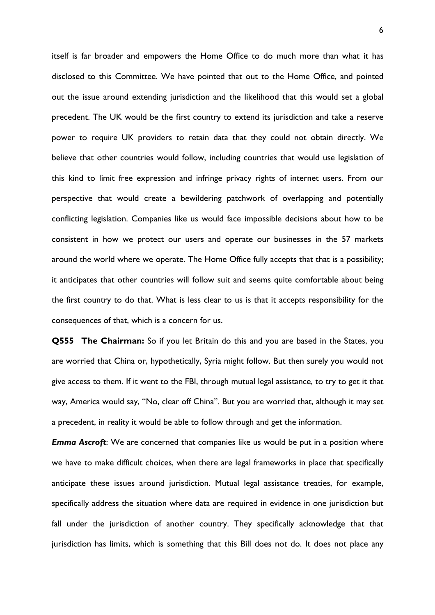itself is far broader and empowers the Home Office to do much more than what it has disclosed to this Committee. We have pointed that out to the Home Office, and pointed out the issue around extending jurisdiction and the likelihood that this would set a global precedent. The UK would be the first country to extend its jurisdiction and take a reserve power to require UK providers to retain data that they could not obtain directly. We believe that other countries would follow, including countries that would use legislation of this kind to limit free expression and infringe privacy rights of internet users. From our perspective that would create a bewildering patchwork of overlapping and potentially conflicting legislation. Companies like us would face impossible decisions about how to be consistent in how we protect our users and operate our businesses in the 57 markets around the world where we operate. The Home Office fully accepts that that is a possibility; it anticipates that other countries will follow suit and seems quite comfortable about being the first country to do that. What is less clear to us is that it accepts responsibility for the consequences of that, which is a concern for us.

**Q555 The Chairman:** So if you let Britain do this and you are based in the States, you are worried that China or, hypothetically, Syria might follow. But then surely you would not give access to them. If it went to the FBI, through mutual legal assistance, to try to get it that way, America would say, "No, clear off China". But you are worried that, although it may set a precedent, in reality it would be able to follow through and get the information.

*Emma Ascroft*: We are concerned that companies like us would be put in a position where we have to make difficult choices, when there are legal frameworks in place that specifically anticipate these issues around jurisdiction. Mutual legal assistance treaties, for example, specifically address the situation where data are required in evidence in one jurisdiction but fall under the jurisdiction of another country. They specifically acknowledge that that jurisdiction has limits, which is something that this Bill does not do. It does not place any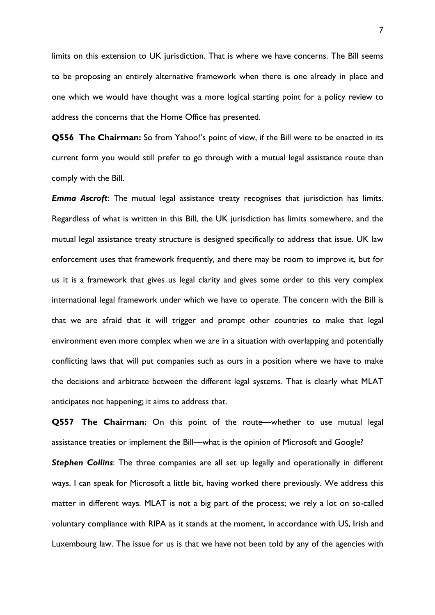limits on this extension to UK jurisdiction. That is where we have concerns. The Bill seems to be proposing an entirely alternative framework when there is one already in place and one which we would have thought was a more logical starting point for a policy review to address the concerns that the Home Office has presented.

**Q556 The Chairman:** So from Yahoo!'s point of view, if the Bill were to be enacted in its current form you would still prefer to go through with a mutual legal assistance route than comply with the Bill.

*Emma Ascroft*: The mutual legal assistance treaty recognises that jurisdiction has limits. Regardless of what is written in this Bill, the UK jurisdiction has limits somewhere, and the mutual legal assistance treaty structure is designed specifically to address that issue. UK law enforcement uses that framework frequently, and there may be room to improve it, but for us it is a framework that gives us legal clarity and gives some order to this very complex international legal framework under which we have to operate. The concern with the Bill is that we are afraid that it will trigger and prompt other countries to make that legal environment even more complex when we are in a situation with overlapping and potentially conflicting laws that will put companies such as ours in a position where we have to make the decisions and arbitrate between the different legal systems. That is clearly what MLAT anticipates not happening; it aims to address that.

**Q557 The Chairman:** On this point of the route—whether to use mutual legal assistance treaties or implement the Bill—what is the opinion of Microsoft and Google?

**Stephen Collins:** The three companies are all set up legally and operationally in different ways. I can speak for Microsoft a little bit, having worked there previously. We address this matter in different ways. MLAT is not a big part of the process; we rely a lot on so-called voluntary compliance with RIPA as it stands at the moment, in accordance with US, Irish and Luxembourg law. The issue for us is that we have not been told by any of the agencies with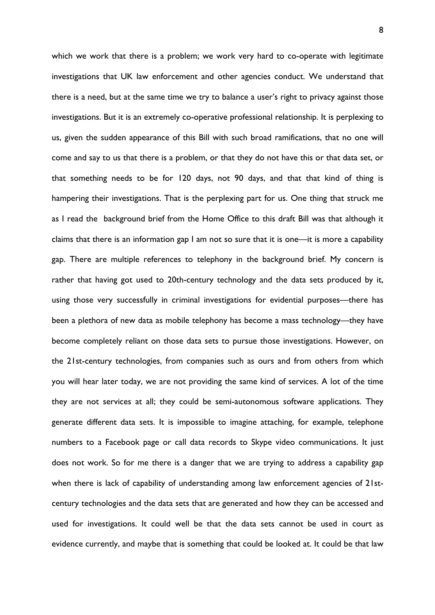which we work that there is a problem; we work very hard to co-operate with legitimate investigations that UK law enforcement and other agencies conduct. We understand that there is a need, but at the same time we try to balance a user's right to privacy against those investigations. But it is an extremely co-operative professional relationship. It is perplexing to us, given the sudden appearance of this Bill with such broad ramifications, that no one will come and say to us that there is a problem, or that they do not have this or that data set, or that something needs to be for 120 days, not 90 days, and that that kind of thing is hampering their investigations. That is the perplexing part for us. One thing that struck me as I read the background brief from the Home Office to this draft Bill was that although it claims that there is an information gap I am not so sure that it is one—it is more a capability gap. There are multiple references to telephony in the background brief. My concern is rather that having got used to 20th-century technology and the data sets produced by it, using those very successfully in criminal investigations for evidential purposes—there has been a plethora of new data as mobile telephony has become a mass technology—they have become completely reliant on those data sets to pursue those investigations. However, on the 21st-century technologies, from companies such as ours and from others from which you will hear later today, we are not providing the same kind of services. A lot of the time they are not services at all; they could be semi-autonomous software applications. They generate different data sets. It is impossible to imagine attaching, for example, telephone numbers to a Facebook page or call data records to Skype video communications. It just does not work. So for me there is a danger that we are trying to address a capability gap when there is lack of capability of understanding among law enforcement agencies of 21stcentury technologies and the data sets that are generated and how they can be accessed and used for investigations. It could well be that the data sets cannot be used in court as evidence currently, and maybe that is something that could be looked at. It could be that law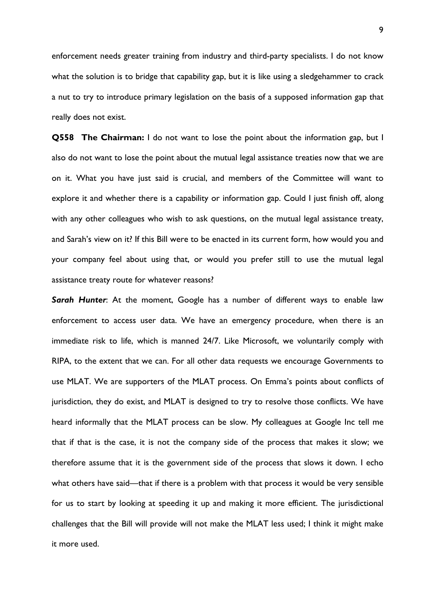enforcement needs greater training from industry and third-party specialists. I do not know what the solution is to bridge that capability gap, but it is like using a sledgehammer to crack a nut to try to introduce primary legislation on the basis of a supposed information gap that really does not exist.

**Q558 The Chairman:** I do not want to lose the point about the information gap, but I also do not want to lose the point about the mutual legal assistance treaties now that we are on it. What you have just said is crucial, and members of the Committee will want to explore it and whether there is a capability or information gap. Could I just finish off, along with any other colleagues who wish to ask questions, on the mutual legal assistance treaty, and Sarah's view on it? If this Bill were to be enacted in its current form, how would you and your company feel about using that, or would you prefer still to use the mutual legal assistance treaty route for whatever reasons?

*Sarah Hunter*: At the moment, Google has a number of different ways to enable law enforcement to access user data. We have an emergency procedure, when there is an immediate risk to life, which is manned 24/7. Like Microsoft, we voluntarily comply with RIPA, to the extent that we can. For all other data requests we encourage Governments to use MLAT. We are supporters of the MLAT process. On Emma's points about conflicts of jurisdiction, they do exist, and MLAT is designed to try to resolve those conflicts. We have heard informally that the MLAT process can be slow. My colleagues at Google Inc tell me that if that is the case, it is not the company side of the process that makes it slow; we therefore assume that it is the government side of the process that slows it down. I echo what others have said—that if there is a problem with that process it would be very sensible for us to start by looking at speeding it up and making it more efficient. The jurisdictional challenges that the Bill will provide will not make the MLAT less used; I think it might make it more used.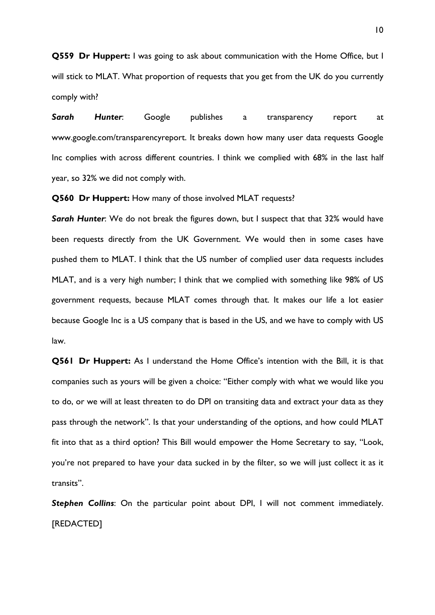**Q559 Dr Huppert:** I was going to ask about communication with the Home Office, but I will stick to MLAT. What proportion of requests that you get from the UK do you currently comply with?

*Sarah Hunter*: Google publishes a transparency report at www.google.com/transparencyreport. It breaks down how many user data requests Google Inc complies with across different countries. I think we complied with 68% in the last half year, so 32% we did not comply with.

**Q560 Dr Huppert:** How many of those involved MLAT requests?

**Sarah Hunter:** We do not break the figures down, but I suspect that that 32% would have been requests directly from the UK Government. We would then in some cases have pushed them to MLAT. I think that the US number of complied user data requests includes MLAT, and is a very high number; I think that we complied with something like 98% of US government requests, because MLAT comes through that. It makes our life a lot easier because Google Inc is a US company that is based in the US, and we have to comply with US law.

**Q561 Dr Huppert:** As I understand the Home Office's intention with the Bill, it is that companies such as yours will be given a choice: "Either comply with what we would like you to do, or we will at least threaten to do DPI on transiting data and extract your data as they pass through the network". Is that your understanding of the options, and how could MLAT fit into that as a third option? This Bill would empower the Home Secretary to say, "Look, you're not prepared to have your data sucked in by the filter, so we will just collect it as it transits".

**Stephen Collins:** On the particular point about DPI, I will not comment immediately. [REDACTED]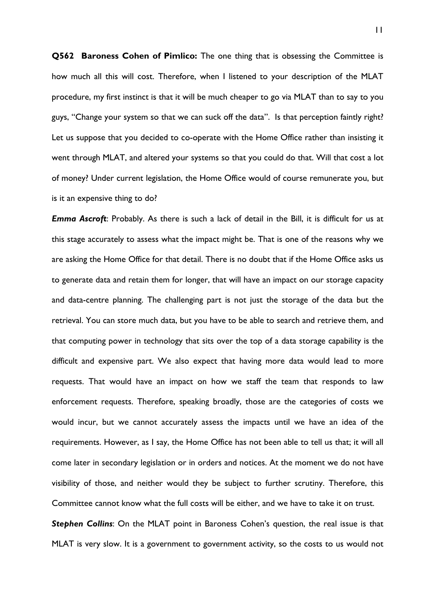**Q562 Baroness Cohen of Pimlico:** The one thing that is obsessing the Committee is how much all this will cost. Therefore, when I listened to your description of the MLAT procedure, my first instinct is that it will be much cheaper to go via MLAT than to say to you guys, "Change your system so that we can suck off the data". Is that perception faintly right? Let us suppose that you decided to co-operate with the Home Office rather than insisting it went through MLAT, and altered your systems so that you could do that. Will that cost a lot of money? Under current legislation, the Home Office would of course remunerate you, but is it an expensive thing to do?

*Emma Ascroft*: Probably. As there is such a lack of detail in the Bill, it is difficult for us at this stage accurately to assess what the impact might be. That is one of the reasons why we are asking the Home Office for that detail. There is no doubt that if the Home Office asks us to generate data and retain them for longer, that will have an impact on our storage capacity and data-centre planning. The challenging part is not just the storage of the data but the retrieval. You can store much data, but you have to be able to search and retrieve them, and that computing power in technology that sits over the top of a data storage capability is the difficult and expensive part. We also expect that having more data would lead to more requests. That would have an impact on how we staff the team that responds to law enforcement requests. Therefore, speaking broadly, those are the categories of costs we would incur, but we cannot accurately assess the impacts until we have an idea of the requirements. However, as I say, the Home Office has not been able to tell us that; it will all come later in secondary legislation or in orders and notices. At the moment we do not have visibility of those, and neither would they be subject to further scrutiny. Therefore, this Committee cannot know what the full costs will be either, and we have to take it on trust.

**Stephen Collins:** On the MLAT point in Baroness Cohen's question, the real issue is that MLAT is very slow. It is a government to government activity, so the costs to us would not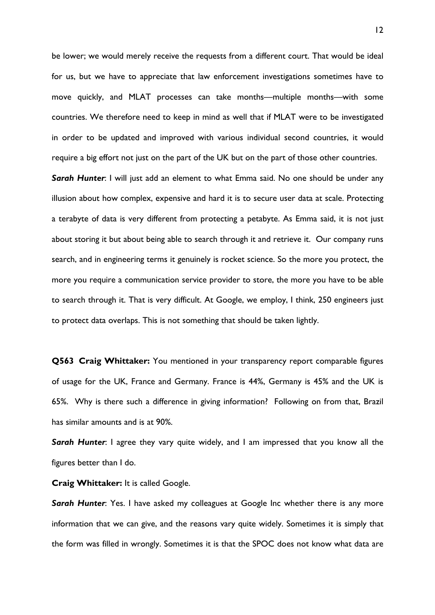be lower; we would merely receive the requests from a different court. That would be ideal for us, but we have to appreciate that law enforcement investigations sometimes have to move quickly, and MLAT processes can take months—multiple months—with some countries. We therefore need to keep in mind as well that if MLAT were to be investigated in order to be updated and improved with various individual second countries, it would require a big effort not just on the part of the UK but on the part of those other countries.

**Sarah Hunter:** I will just add an element to what Emma said. No one should be under any illusion about how complex, expensive and hard it is to secure user data at scale. Protecting a terabyte of data is very different from protecting a petabyte. As Emma said, it is not just about storing it but about being able to search through it and retrieve it. Our company runs search, and in engineering terms it genuinely is rocket science. So the more you protect, the more you require a communication service provider to store, the more you have to be able to search through it. That is very difficult. At Google, we employ, I think, 250 engineers just to protect data overlaps. This is not something that should be taken lightly.

**Q563 Craig Whittaker:** You mentioned in your transparency report comparable figures of usage for the UK, France and Germany. France is 44%, Germany is 45% and the UK is 65%. Why is there such a difference in giving information? Following on from that, Brazil has similar amounts and is at 90%.

*Sarah Hunter*: I agree they vary quite widely, and I am impressed that you know all the figures better than I do.

**Craig Whittaker:** It is called Google.

**Sarah Hunter:** Yes. I have asked my colleagues at Google Inc whether there is any more information that we can give, and the reasons vary quite widely. Sometimes it is simply that the form was filled in wrongly. Sometimes it is that the SPOC does not know what data are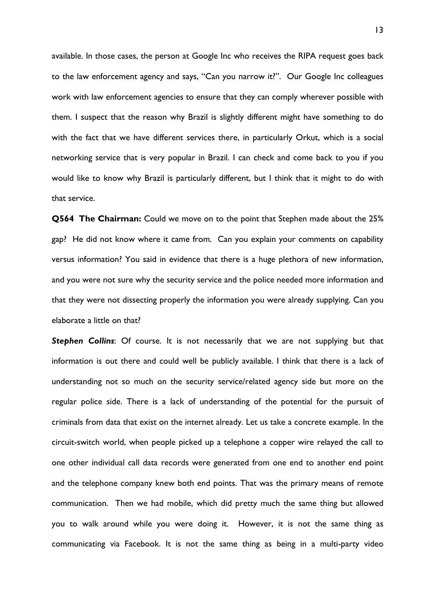available. In those cases, the person at Google Inc who receives the RIPA request goes back to the law enforcement agency and says, "Can you narrow it?". Our Google Inc colleagues work with law enforcement agencies to ensure that they can comply wherever possible with them. I suspect that the reason why Brazil is slightly different might have something to do with the fact that we have different services there, in particularly Orkut, which is a social networking service that is very popular in Brazil. I can check and come back to you if you would like to know why Brazil is particularly different, but I think that it might to do with that service.

**Q564 The Chairman:** Could we move on to the point that Stephen made about the 25% gap? He did not know where it came from. Can you explain your comments on capability versus information? You said in evidence that there is a huge plethora of new information, and you were not sure why the security service and the police needed more information and that they were not dissecting properly the information you were already supplying. Can you elaborate a little on that?

**Stephen Collins:** Of course. It is not necessarily that we are not supplying but that information is out there and could well be publicly available. I think that there is a lack of understanding not so much on the security service/related agency side but more on the regular police side. There is a lack of understanding of the potential for the pursuit of criminals from data that exist on the internet already. Let us take a concrete example. In the circuit-switch world, when people picked up a telephone a copper wire relayed the call to one other individual call data records were generated from one end to another end point and the telephone company knew both end points. That was the primary means of remote communication. Then we had mobile, which did pretty much the same thing but allowed you to walk around while you were doing it. However, it is not the same thing as communicating via Facebook. It is not the same thing as being in a multi-party video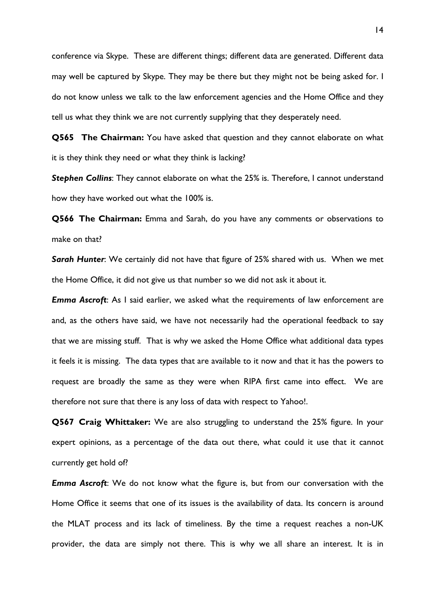conference via Skype. These are different things; different data are generated. Different data may well be captured by Skype. They may be there but they might not be being asked for. I do not know unless we talk to the law enforcement agencies and the Home Office and they tell us what they think we are not currently supplying that they desperately need.

**Q565 The Chairman:** You have asked that question and they cannot elaborate on what it is they think they need or what they think is lacking?

*Stephen Collins*: They cannot elaborate on what the 25% is. Therefore, I cannot understand how they have worked out what the 100% is.

**Q566 The Chairman:** Emma and Sarah, do you have any comments or observations to make on that?

*Sarah Hunter*: We certainly did not have that figure of 25% shared with us. When we met the Home Office, it did not give us that number so we did not ask it about it.

*Emma Ascroft*: As I said earlier, we asked what the requirements of law enforcement are and, as the others have said, we have not necessarily had the operational feedback to say that we are missing stuff. That is why we asked the Home Office what additional data types it feels it is missing. The data types that are available to it now and that it has the powers to request are broadly the same as they were when RIPA first came into effect. We are therefore not sure that there is any loss of data with respect to Yahoo!.

**Q567 Craig Whittaker:** We are also struggling to understand the 25% figure. In your expert opinions, as a percentage of the data out there, what could it use that it cannot currently get hold of?

*Emma Ascroft*: We do not know what the figure is, but from our conversation with the Home Office it seems that one of its issues is the availability of data. Its concern is around the MLAT process and its lack of timeliness. By the time a request reaches a non-UK provider, the data are simply not there. This is why we all share an interest. It is in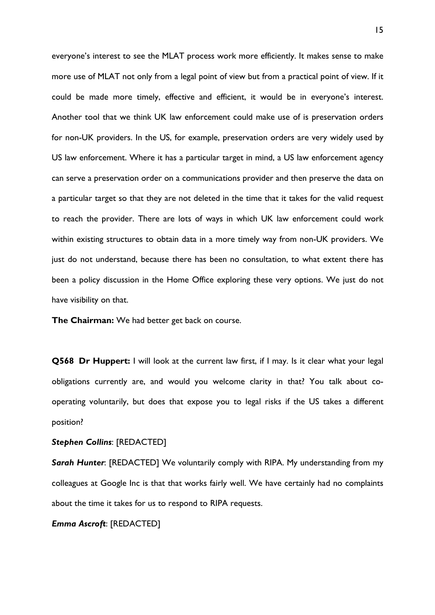everyone's interest to see the MLAT process work more efficiently. It makes sense to make more use of MLAT not only from a legal point of view but from a practical point of view. If it could be made more timely, effective and efficient, it would be in everyone's interest. Another tool that we think UK law enforcement could make use of is preservation orders for non-UK providers. In the US, for example, preservation orders are very widely used by US law enforcement. Where it has a particular target in mind, a US law enforcement agency can serve a preservation order on a communications provider and then preserve the data on a particular target so that they are not deleted in the time that it takes for the valid request to reach the provider. There are lots of ways in which UK law enforcement could work within existing structures to obtain data in a more timely way from non-UK providers. We just do not understand, because there has been no consultation, to what extent there has been a policy discussion in the Home Office exploring these very options. We just do not have visibility on that.

**The Chairman:** We had better get back on course.

**Q568 Dr Huppert:** I will look at the current law first, if I may. Is it clear what your legal obligations currently are, and would you welcome clarity in that? You talk about cooperating voluntarily, but does that expose you to legal risks if the US takes a different position?

#### *Stephen Collins*: [REDACTED]

*Sarah Hunter*: [REDACTED] We voluntarily comply with RIPA. My understanding from my colleagues at Google Inc is that that works fairly well. We have certainly had no complaints about the time it takes for us to respond to RIPA requests.

*Emma Ascroft*: [REDACTED]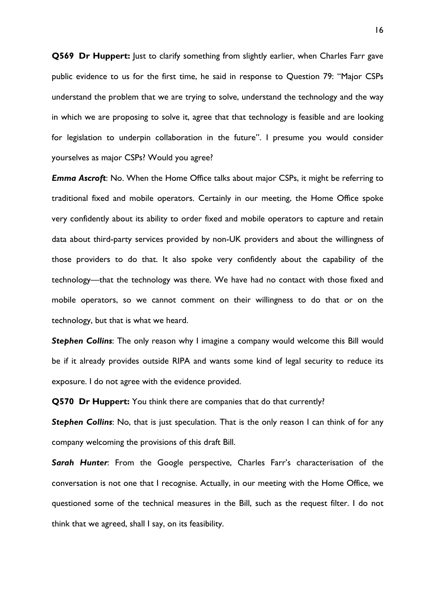**Q569 Dr Huppert:** Just to clarify something from slightly earlier, when Charles Farr gave public evidence to us for the first time, he said in response to Question 79: "Major CSPs understand the problem that we are trying to solve, understand the technology and the way in which we are proposing to solve it, agree that that technology is feasible and are looking for legislation to underpin collaboration in the future". I presume you would consider yourselves as major CSPs? Would you agree?

*Emma Ascroft*: No. When the Home Office talks about major CSPs, it might be referring to traditional fixed and mobile operators. Certainly in our meeting, the Home Office spoke very confidently about its ability to order fixed and mobile operators to capture and retain data about third-party services provided by non-UK providers and about the willingness of those providers to do that. It also spoke very confidently about the capability of the technology—that the technology was there. We have had no contact with those fixed and mobile operators, so we cannot comment on their willingness to do that or on the technology, but that is what we heard.

**Stephen Collins:** The only reason why I imagine a company would welcome this Bill would be if it already provides outside RIPA and wants some kind of legal security to reduce its exposure. I do not agree with the evidence provided.

**Q570 Dr Huppert:** You think there are companies that do that currently?

**Stephen Collins:** No, that is just speculation. That is the only reason I can think of for any company welcoming the provisions of this draft Bill.

*Sarah Hunter*: From the Google perspective, Charles Farr's characterisation of the conversation is not one that I recognise. Actually, in our meeting with the Home Office, we questioned some of the technical measures in the Bill, such as the request filter. I do not think that we agreed, shall I say, on its feasibility.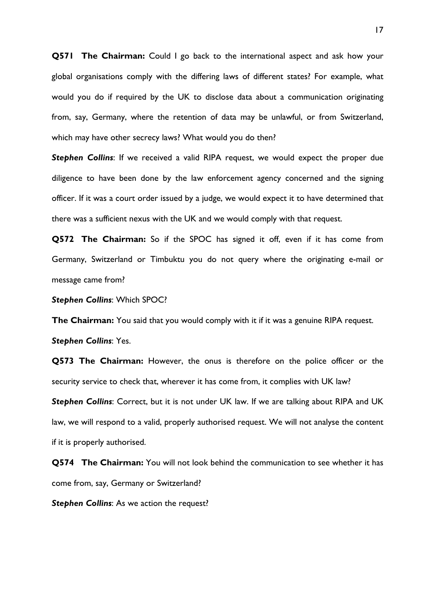**Q571 The Chairman:** Could I go back to the international aspect and ask how your global organisations comply with the differing laws of different states? For example, what would you do if required by the UK to disclose data about a communication originating from, say, Germany, where the retention of data may be unlawful, or from Switzerland, which may have other secrecy laws? What would you do then?

**Stephen Collins:** If we received a valid RIPA request, we would expect the proper due diligence to have been done by the law enforcement agency concerned and the signing officer. If it was a court order issued by a judge, we would expect it to have determined that there was a sufficient nexus with the UK and we would comply with that request.

**Q572 The Chairman:** So if the SPOC has signed it off, even if it has come from Germany, Switzerland or Timbuktu you do not query where the originating e-mail or message came from?

*Stephen Collins*: Which SPOC?

**The Chairman:** You said that you would comply with it if it was a genuine RIPA request.

*Stephen Collins*: Yes.

**Q573 The Chairman:** However, the onus is therefore on the police officer or the security service to check that, wherever it has come from, it complies with UK law?

*Stephen Collins*: Correct, but it is not under UK law. If we are talking about RIPA and UK law, we will respond to a valid, properly authorised request. We will not analyse the content if it is properly authorised.

**Q574 The Chairman:** You will not look behind the communication to see whether it has come from, say, Germany or Switzerland?

*Stephen Collins*: As we action the request?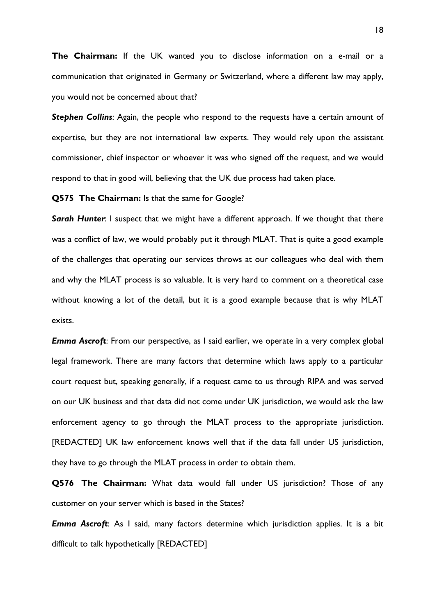**The Chairman:** If the UK wanted you to disclose information on a e-mail or a communication that originated in Germany or Switzerland, where a different law may apply, you would not be concerned about that?

*Stephen Collins*: Again, the people who respond to the requests have a certain amount of expertise, but they are not international law experts. They would rely upon the assistant commissioner, chief inspector or whoever it was who signed off the request, and we would respond to that in good will, believing that the UK due process had taken place.

**Q575 The Chairman:** Is that the same for Google?

**Sarah Hunter:** I suspect that we might have a different approach. If we thought that there was a conflict of law, we would probably put it through MLAT. That is quite a good example of the challenges that operating our services throws at our colleagues who deal with them and why the MLAT process is so valuable. It is very hard to comment on a theoretical case without knowing a lot of the detail, but it is a good example because that is why MLAT exists.

*Emma Ascroft*: From our perspective, as I said earlier, we operate in a very complex global legal framework. There are many factors that determine which laws apply to a particular court request but, speaking generally, if a request came to us through RIPA and was served on our UK business and that data did not come under UK jurisdiction, we would ask the law enforcement agency to go through the MLAT process to the appropriate jurisdiction. [REDACTED] UK law enforcement knows well that if the data fall under US jurisdiction, they have to go through the MLAT process in order to obtain them.

**Q576 The Chairman:** What data would fall under US jurisdiction? Those of any customer on your server which is based in the States?

*Emma Ascroft*: As I said, many factors determine which jurisdiction applies. It is a bit difficult to talk hypothetically [REDACTED]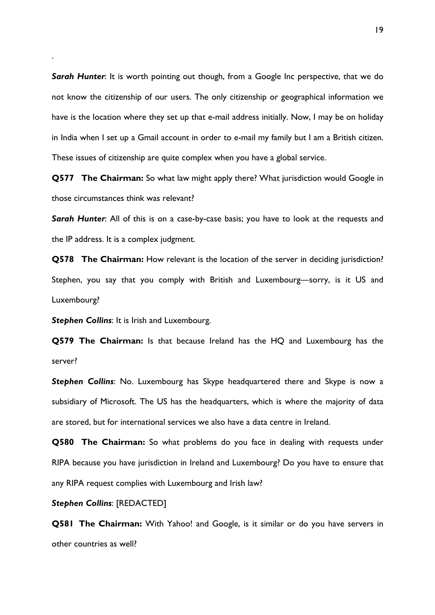**Sarah Hunter:** It is worth pointing out though, from a Google Inc perspective, that we do not know the citizenship of our users. The only citizenship or geographical information we have is the location where they set up that e-mail address initially. Now, I may be on holiday in India when I set up a Gmail account in order to e-mail my family but I am a British citizen. These issues of citizenship are quite complex when you have a global service.

**Q577 The Chairman:** So what law might apply there? What jurisdiction would Google in those circumstances think was relevant?

**Sarah Hunter:** All of this is on a case-by-case basis; you have to look at the requests and the IP address. It is a complex judgment.

**Q578 The Chairman:** How relevant is the location of the server in deciding jurisdiction? Stephen, you say that you comply with British and Luxembourg—sorry, is it US and Luxembourg?

*Stephen Collins*: It is Irish and Luxembourg.

.

**Q579 The Chairman:** Is that because Ireland has the HQ and Luxembourg has the server?

*Stephen Collins*: No. Luxembourg has Skype headquartered there and Skype is now a subsidiary of Microsoft. The US has the headquarters, which is where the majority of data are stored, but for international services we also have a data centre in Ireland.

**Q580 The Chairman:** So what problems do you face in dealing with requests under RIPA because you have jurisdiction in Ireland and Luxembourg? Do you have to ensure that any RIPA request complies with Luxembourg and Irish law?

### *Stephen Collins*: [REDACTED]

**Q581 The Chairman:** With Yahoo! and Google, is it similar or do you have servers in other countries as well?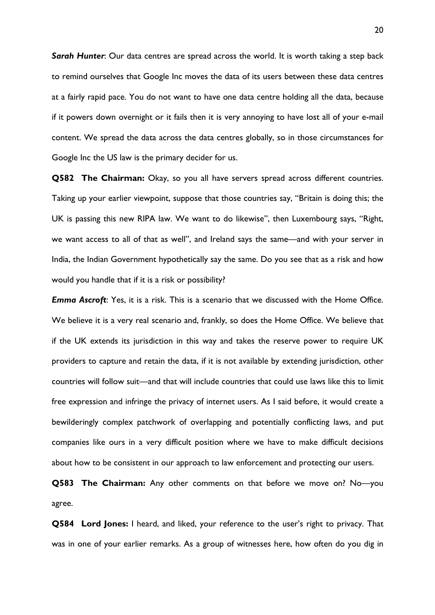*Sarah Hunter*: Our data centres are spread across the world. It is worth taking a step back to remind ourselves that Google Inc moves the data of its users between these data centres at a fairly rapid pace. You do not want to have one data centre holding all the data, because if it powers down overnight or it fails then it is very annoying to have lost all of your e-mail content. We spread the data across the data centres globally, so in those circumstances for Google Inc the US law is the primary decider for us.

**Q582 The Chairman:** Okay, so you all have servers spread across different countries. Taking up your earlier viewpoint, suppose that those countries say, "Britain is doing this; the UK is passing this new RIPA law. We want to do likewise", then Luxembourg says, "Right, we want access to all of that as well", and Ireland says the same—and with your server in India, the Indian Government hypothetically say the same. Do you see that as a risk and how would you handle that if it is a risk or possibility?

*Emma Ascroft*: Yes, it is a risk. This is a scenario that we discussed with the Home Office. We believe it is a very real scenario and, frankly, so does the Home Office. We believe that if the UK extends its jurisdiction in this way and takes the reserve power to require UK providers to capture and retain the data, if it is not available by extending jurisdiction, other countries will follow suit—and that will include countries that could use laws like this to limit free expression and infringe the privacy of internet users. As I said before, it would create a bewilderingly complex patchwork of overlapping and potentially conflicting laws, and put companies like ours in a very difficult position where we have to make difficult decisions about how to be consistent in our approach to law enforcement and protecting our users.

**Q583 The Chairman:** Any other comments on that before we move on? No—you agree.

**Q584 Lord Jones:** I heard, and liked, your reference to the user's right to privacy. That was in one of your earlier remarks. As a group of witnesses here, how often do you dig in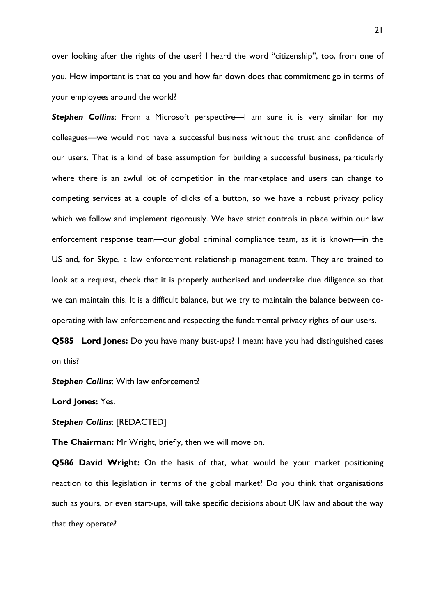over looking after the rights of the user? I heard the word "citizenship", too, from one of you. How important is that to you and how far down does that commitment go in terms of your employees around the world?

*Stephen Collins*: From a Microsoft perspective—I am sure it is very similar for my colleagues—we would not have a successful business without the trust and confidence of our users. That is a kind of base assumption for building a successful business, particularly where there is an awful lot of competition in the marketplace and users can change to competing services at a couple of clicks of a button, so we have a robust privacy policy which we follow and implement rigorously. We have strict controls in place within our law enforcement response team—our global criminal compliance team, as it is known—in the US and, for Skype, a law enforcement relationship management team. They are trained to look at a request, check that it is properly authorised and undertake due diligence so that we can maintain this. It is a difficult balance, but we try to maintain the balance between cooperating with law enforcement and respecting the fundamental privacy rights of our users.

**Q585 Lord Jones:** Do you have many bust-ups? I mean: have you had distinguished cases on this?

*Stephen Collins*: With law enforcement?

**Lord Jones:** Yes.

*Stephen Collins*: [REDACTED]

**The Chairman:** Mr Wright, briefly, then we will move on.

**Q586 David Wright:** On the basis of that, what would be your market positioning reaction to this legislation in terms of the global market? Do you think that organisations such as yours, or even start-ups, will take specific decisions about UK law and about the way that they operate?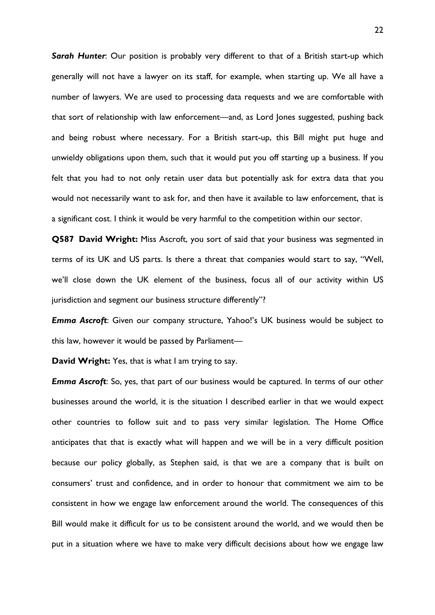*Sarah Hunter*: Our position is probably very different to that of a British start-up which generally will not have a lawyer on its staff, for example, when starting up. We all have a number of lawyers. We are used to processing data requests and we are comfortable with that sort of relationship with law enforcement—and, as Lord Jones suggested, pushing back and being robust where necessary. For a British start-up, this Bill might put huge and unwieldy obligations upon them, such that it would put you off starting up a business. If you felt that you had to not only retain user data but potentially ask for extra data that you would not necessarily want to ask for, and then have it available to law enforcement, that is a significant cost. I think it would be very harmful to the competition within our sector.

**Q587 David Wright:** Miss Ascroft, you sort of said that your business was segmented in terms of its UK and US parts. Is there a threat that companies would start to say, "Well, we'll close down the UK element of the business, focus all of our activity within US jurisdiction and segment our business structure differently"?

*Emma Ascroft:* Given our company structure, Yahoo!'s UK business would be subject to this law, however it would be passed by Parliament—

**David Wright:** Yes, that is what I am trying to say.

*Emma Ascroft*: So, yes, that part of our business would be captured. In terms of our other businesses around the world, it is the situation I described earlier in that we would expect other countries to follow suit and to pass very similar legislation. The Home Office anticipates that that is exactly what will happen and we will be in a very difficult position because our policy globally, as Stephen said, is that we are a company that is built on consumers' trust and confidence, and in order to honour that commitment we aim to be consistent in how we engage law enforcement around the world. The consequences of this Bill would make it difficult for us to be consistent around the world, and we would then be put in a situation where we have to make very difficult decisions about how we engage law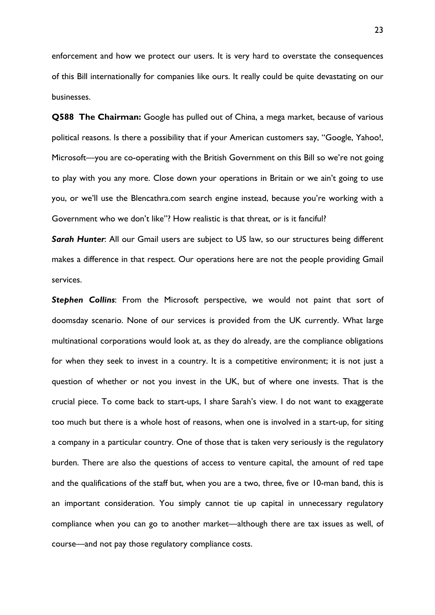enforcement and how we protect our users. It is very hard to overstate the consequences of this Bill internationally for companies like ours. It really could be quite devastating on our businesses.

**Q588 The Chairman:** Google has pulled out of China, a mega market, because of various political reasons. Is there a possibility that if your American customers say, "Google, Yahoo!, Microsoft—you are co-operating with the British Government on this Bill so we're not going to play with you any more. Close down your operations in Britain or we ain't going to use you, or we'll use the Blencathra.com search engine instead, because you're working with a Government who we don't like"? How realistic is that threat, or is it fanciful?

*Sarah Hunter*: All our Gmail users are subject to US law, so our structures being different makes a difference in that respect. Our operations here are not the people providing Gmail services.

*Stephen Collins*: From the Microsoft perspective, we would not paint that sort of doomsday scenario. None of our services is provided from the UK currently. What large multinational corporations would look at, as they do already, are the compliance obligations for when they seek to invest in a country. It is a competitive environment; it is not just a question of whether or not you invest in the UK, but of where one invests. That is the crucial piece. To come back to start-ups, I share Sarah's view. I do not want to exaggerate too much but there is a whole host of reasons, when one is involved in a start-up, for siting a company in a particular country. One of those that is taken very seriously is the regulatory burden. There are also the questions of access to venture capital, the amount of red tape and the qualifications of the staff but, when you are a two, three, five or 10-man band, this is an important consideration. You simply cannot tie up capital in unnecessary regulatory compliance when you can go to another market—although there are tax issues as well, of course—and not pay those regulatory compliance costs.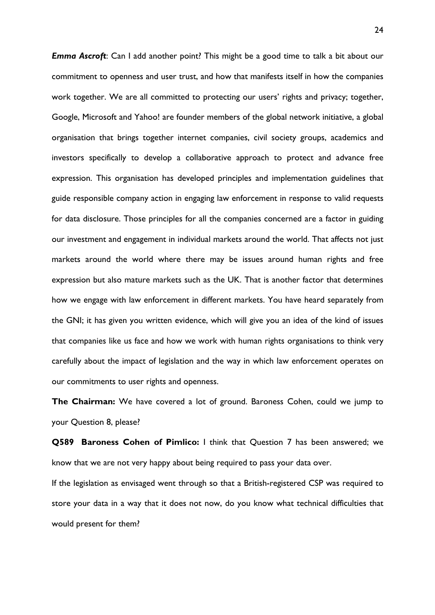*Emma Ascroft*: Can I add another point? This might be a good time to talk a bit about our commitment to openness and user trust, and how that manifests itself in how the companies work together. We are all committed to protecting our users' rights and privacy; together, Google, Microsoft and Yahoo! are founder members of the global network initiative, a global organisation that brings together internet companies, civil society groups, academics and investors specifically to develop a collaborative approach to protect and advance free expression. This organisation has developed principles and implementation guidelines that guide responsible company action in engaging law enforcement in response to valid requests for data disclosure. Those principles for all the companies concerned are a factor in guiding our investment and engagement in individual markets around the world. That affects not just markets around the world where there may be issues around human rights and free expression but also mature markets such as the UK. That is another factor that determines how we engage with law enforcement in different markets. You have heard separately from the GNI; it has given you written evidence, which will give you an idea of the kind of issues that companies like us face and how we work with human rights organisations to think very carefully about the impact of legislation and the way in which law enforcement operates on our commitments to user rights and openness.

**The Chairman:** We have covered a lot of ground. Baroness Cohen, could we jump to your Question 8, please?

**Q589 Baroness Cohen of Pimlico:** I think that Question 7 has been answered; we know that we are not very happy about being required to pass your data over.

If the legislation as envisaged went through so that a British-registered CSP was required to store your data in a way that it does not now, do you know what technical difficulties that would present for them?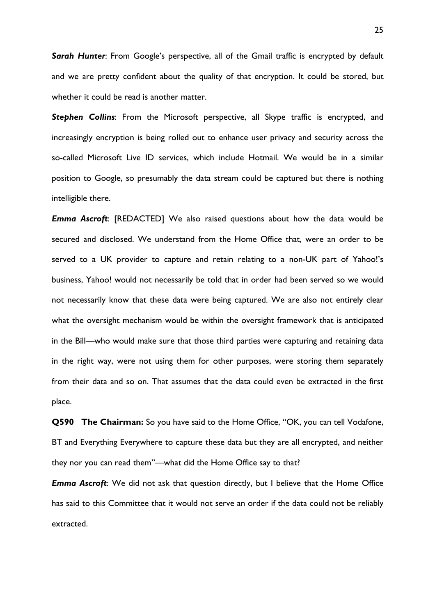*Sarah Hunter*: From Google's perspective, all of the Gmail traffic is encrypted by default and we are pretty confident about the quality of that encryption. It could be stored, but whether it could be read is another matter.

*Stephen Collins*: From the Microsoft perspective, all Skype traffic is encrypted, and increasingly encryption is being rolled out to enhance user privacy and security across the so-called Microsoft Live ID services, which include Hotmail. We would be in a similar position to Google, so presumably the data stream could be captured but there is nothing intelligible there.

*Emma Ascroft*: [REDACTED] We also raised questions about how the data would be secured and disclosed. We understand from the Home Office that, were an order to be served to a UK provider to capture and retain relating to a non-UK part of Yahoo!'s business, Yahoo! would not necessarily be told that in order had been served so we would not necessarily know that these data were being captured. We are also not entirely clear what the oversight mechanism would be within the oversight framework that is anticipated in the Bill—who would make sure that those third parties were capturing and retaining data in the right way, were not using them for other purposes, were storing them separately from their data and so on. That assumes that the data could even be extracted in the first place.

**Q590 The Chairman:** So you have said to the Home Office, "OK, you can tell Vodafone, BT and Everything Everywhere to capture these data but they are all encrypted, and neither they nor you can read them"—what did the Home Office say to that?

*Emma Ascroft*: We did not ask that question directly, but I believe that the Home Office has said to this Committee that it would not serve an order if the data could not be reliably extracted.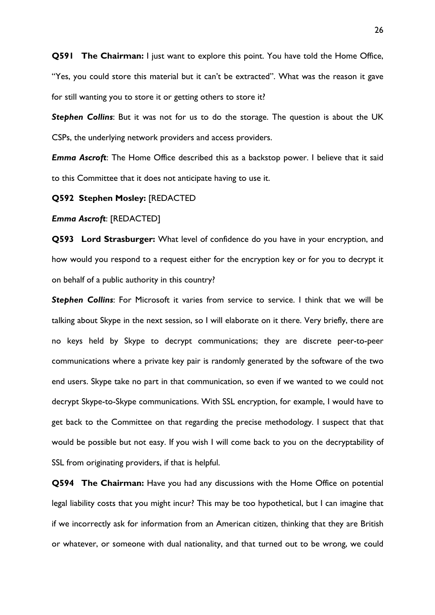**Q591 The Chairman:** I just want to explore this point. You have told the Home Office, "Yes, you could store this material but it can't be extracted". What was the reason it gave for still wanting you to store it or getting others to store it?

*Stephen Collins*: But it was not for us to do the storage. The question is about the UK CSPs, the underlying network providers and access providers.

*Emma Ascroft*: The Home Office described this as a backstop power. I believe that it said to this Committee that it does not anticipate having to use it.

#### **Q592 Stephen Mosley:** [REDACTED

#### *Emma Ascroft*: [REDACTED]

**Q593 Lord Strasburger:** What level of confidence do you have in your encryption, and how would you respond to a request either for the encryption key or for you to decrypt it on behalf of a public authority in this country?

*Stephen Collins*: For Microsoft it varies from service to service. I think that we will be talking about Skype in the next session, so I will elaborate on it there. Very briefly, there are no keys held by Skype to decrypt communications; they are discrete peer-to-peer communications where a private key pair is randomly generated by the software of the two end users. Skype take no part in that communication, so even if we wanted to we could not decrypt Skype-to-Skype communications. With SSL encryption, for example, I would have to get back to the Committee on that regarding the precise methodology. I suspect that that would be possible but not easy. If you wish I will come back to you on the decryptability of SSL from originating providers, if that is helpful.

**Q594 The Chairman:** Have you had any discussions with the Home Office on potential legal liability costs that you might incur? This may be too hypothetical, but I can imagine that if we incorrectly ask for information from an American citizen, thinking that they are British or whatever, or someone with dual nationality, and that turned out to be wrong, we could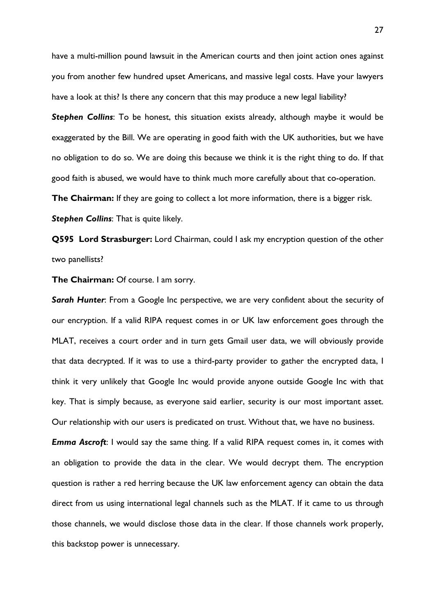have a multi-million pound lawsuit in the American courts and then joint action ones against you from another few hundred upset Americans, and massive legal costs. Have your lawyers have a look at this? Is there any concern that this may produce a new legal liability?

**Stephen Collins:** To be honest, this situation exists already, although maybe it would be exaggerated by the Bill. We are operating in good faith with the UK authorities, but we have no obligation to do so. We are doing this because we think it is the right thing to do. If that good faith is abused, we would have to think much more carefully about that co-operation.

**The Chairman:** If they are going to collect a lot more information, there is a bigger risk.

*Stephen Collins*: That is quite likely.

**Q595 Lord Strasburger:** Lord Chairman, could I ask my encryption question of the other two panellists?

**The Chairman:** Of course. I am sorry.

*Sarah Hunter*: From a Google Inc perspective, we are very confident about the security of our encryption. If a valid RIPA request comes in or UK law enforcement goes through the MLAT, receives a court order and in turn gets Gmail user data, we will obviously provide that data decrypted. If it was to use a third-party provider to gather the encrypted data, I think it very unlikely that Google Inc would provide anyone outside Google Inc with that key. That is simply because, as everyone said earlier, security is our most important asset. Our relationship with our users is predicated on trust. Without that, we have no business.

*Emma Ascroft*: I would say the same thing. If a valid RIPA request comes in, it comes with an obligation to provide the data in the clear. We would decrypt them. The encryption question is rather a red herring because the UK law enforcement agency can obtain the data direct from us using international legal channels such as the MLAT. If it came to us through those channels, we would disclose those data in the clear. If those channels work properly, this backstop power is unnecessary.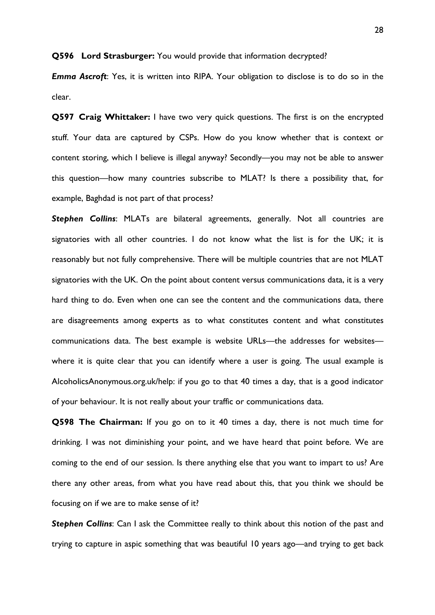**Q596 Lord Strasburger:** You would provide that information decrypted?

*Emma Ascroft*: Yes, it is written into RIPA. Your obligation to disclose is to do so in the clear.

**Q597 Craig Whittaker:** I have two very quick questions. The first is on the encrypted stuff. Your data are captured by CSPs. How do you know whether that is context or content storing, which I believe is illegal anyway? Secondly—you may not be able to answer this question—how many countries subscribe to MLAT? Is there a possibility that, for example, Baghdad is not part of that process?

*Stephen Collins*: MLATs are bilateral agreements, generally. Not all countries are signatories with all other countries. I do not know what the list is for the UK; it is reasonably but not fully comprehensive. There will be multiple countries that are not MLAT signatories with the UK. On the point about content versus communications data, it is a very hard thing to do. Even when one can see the content and the communications data, there are disagreements among experts as to what constitutes content and what constitutes communications data. The best example is website URLs—the addresses for websites where it is quite clear that you can identify where a user is going. The usual example is AlcoholicsAnonymous.org.uk/help: if you go to that 40 times a day, that is a good indicator of your behaviour. It is not really about your traffic or communications data.

**Q598 The Chairman:** If you go on to it 40 times a day, there is not much time for drinking. I was not diminishing your point, and we have heard that point before. We are coming to the end of our session. Is there anything else that you want to impart to us? Are there any other areas, from what you have read about this, that you think we should be focusing on if we are to make sense of it?

**Stephen Collins:** Can I ask the Committee really to think about this notion of the past and trying to capture in aspic something that was beautiful 10 years ago—and trying to get back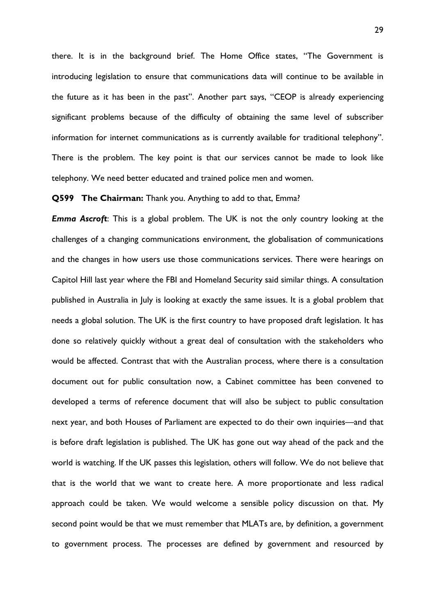there. It is in the background brief. The Home Office states, "The Government is introducing legislation to ensure that communications data will continue to be available in the future as it has been in the past". Another part says, "CEOP is already experiencing significant problems because of the difficulty of obtaining the same level of subscriber information for internet communications as is currently available for traditional telephony". There is the problem. The key point is that our services cannot be made to look like telephony. We need better educated and trained police men and women.

#### **Q599 The Chairman:** Thank you. Anything to add to that, Emma?

*Emma Ascroft*: This is a global problem. The UK is not the only country looking at the challenges of a changing communications environment, the globalisation of communications and the changes in how users use those communications services. There were hearings on Capitol Hill last year where the FBI and Homeland Security said similar things. A consultation published in Australia in July is looking at exactly the same issues. It is a global problem that needs a global solution. The UK is the first country to have proposed draft legislation. It has done so relatively quickly without a great deal of consultation with the stakeholders who would be affected. Contrast that with the Australian process, where there is a consultation document out for public consultation now, a Cabinet committee has been convened to developed a terms of reference document that will also be subject to public consultation next year, and both Houses of Parliament are expected to do their own inquiries—and that is before draft legislation is published. The UK has gone out way ahead of the pack and the world is watching. If the UK passes this legislation, others will follow. We do not believe that that is the world that we want to create here. A more proportionate and less radical approach could be taken. We would welcome a sensible policy discussion on that. My second point would be that we must remember that MLATs are, by definition, a government to government process. The processes are defined by government and resourced by